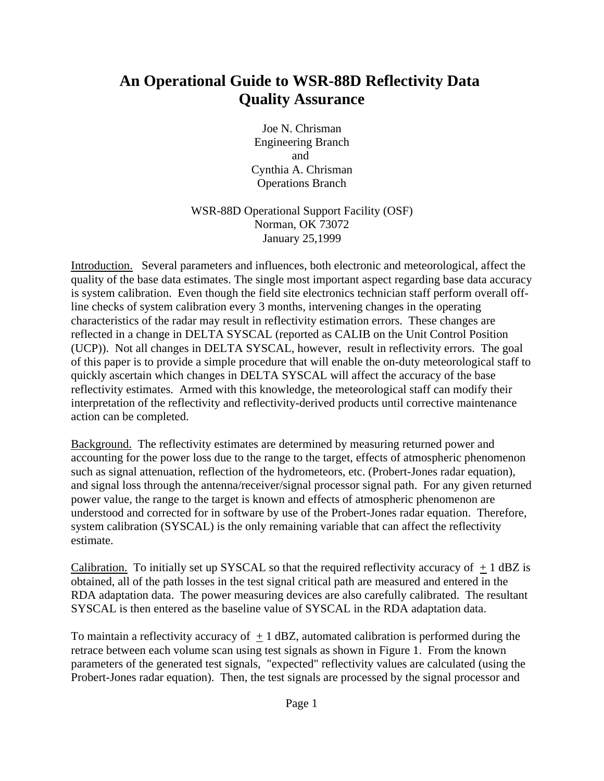# **An Operational Guide to WSR-88D Reflectivity Data Quality Assurance**

Joe N. Chrisman Engineering Branch and Cynthia A. Chrisman Operations Branch

WSR-88D Operational Support Facility (OSF) Norman, OK 73072 January 25,1999

Introduction. Several parameters and influences, both electronic and meteorological, affect the quality of the base data estimates. The single most important aspect regarding base data accuracy is system calibration. Even though the field site electronics technician staff perform overall offline checks of system calibration every 3 months, intervening changes in the operating characteristics of the radar may result in reflectivity estimation errors. These changes are reflected in a change in DELTA SYSCAL (reported as CALIB on the Unit Control Position (UCP)). Not all changes in DELTA SYSCAL, however, result in reflectivity errors. The goal of this paper is to provide a simple procedure that will enable the on-duty meteorological staff to quickly ascertain which changes in DELTA SYSCAL will affect the accuracy of the base reflectivity estimates. Armed with this knowledge, the meteorological staff can modify their interpretation of the reflectivity and reflectivity-derived products until corrective maintenance action can be completed.

Background. The reflectivity estimates are determined by measuring returned power and accounting for the power loss due to the range to the target, effects of atmospheric phenomenon such as signal attenuation, reflection of the hydrometeors, etc. (Probert-Jones radar equation), and signal loss through the antenna/receiver/signal processor signal path. For any given returned power value, the range to the target is known and effects of atmospheric phenomenon are understood and corrected for in software by use of the Probert-Jones radar equation. Therefore, system calibration (SYSCAL) is the only remaining variable that can affect the reflectivity estimate.

Calibration. To initially set up SYSCAL so that the required reflectivity accuracy of  $\pm 1$  dBZ is obtained, all of the path losses in the test signal critical path are measured and entered in the RDA adaptation data. The power measuring devices are also carefully calibrated. The resultant SYSCAL is then entered as the baseline value of SYSCAL in the RDA adaptation data.

To maintain a reflectivity accuracy of  $+1$  dBZ, automated calibration is performed during the retrace between each volume scan using test signals as shown in Figure 1. From the known parameters of the generated test signals, "expected" reflectivity values are calculated (using the Probert-Jones radar equation). Then, the test signals are processed by the signal processor and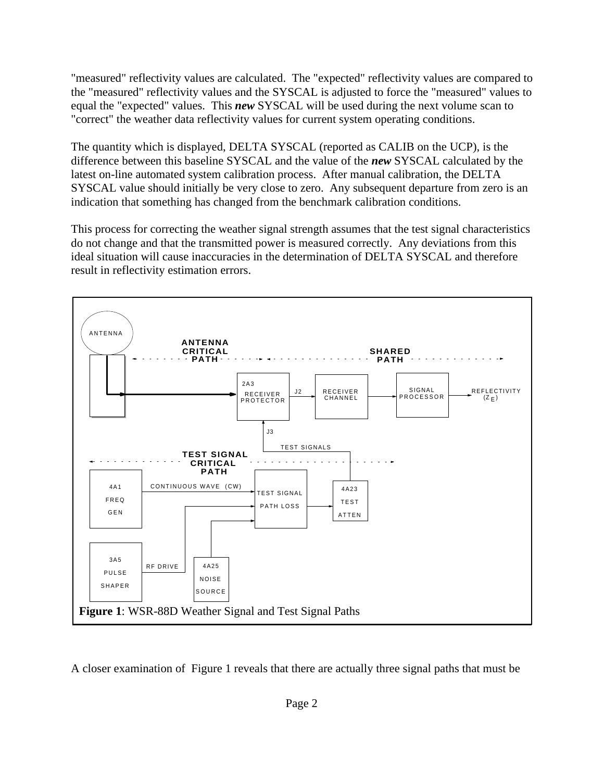"measured" reflectivity values are calculated. The "expected" reflectivity values are compared to the "measured" reflectivity values and the SYSCAL is adjusted to force the "measured" values to equal the "expected" values. This *new* SYSCAL will be used during the next volume scan to "correct" the weather data reflectivity values for current system operating conditions.

The quantity which is displayed, DELTA SYSCAL (reported as CALIB on the UCP), is the difference between this baseline SYSCAL and the value of the *new* SYSCAL calculated by the latest on-line automated system calibration process. After manual calibration, the DELTA SYSCAL value should initially be very close to zero. Any subsequent departure from zero is an indication that something has changed from the benchmark calibration conditions.

This process for correcting the weather signal strength assumes that the test signal characteristics do not change and that the transmitted power is measured correctly. Any deviations from this ideal situation will cause inaccuracies in the determination of DELTA SYSCAL and therefore result in reflectivity estimation errors.



A closer examination of Figure 1 reveals that there are actually three signal paths that must be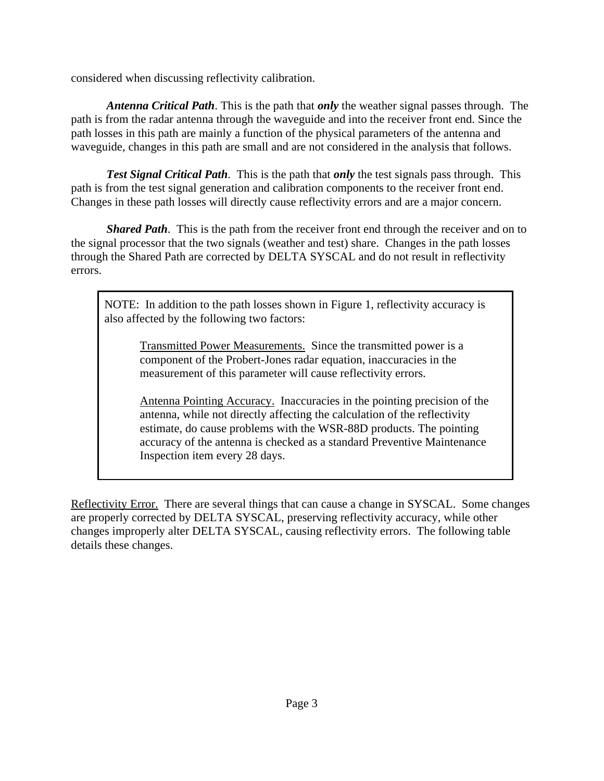considered when discussing reflectivity calibration.

*Antenna Critical Path*. This is the path that *only* the weather signal passes through. The path is from the radar antenna through the waveguide and into the receiver front end. Since the path losses in this path are mainly a function of the physical parameters of the antenna and waveguide, changes in this path are small and are not considered in the analysis that follows.

*Test Signal Critical Path*. This is the path that *only* the test signals pass through. This path is from the test signal generation and calibration components to the receiver front end. Changes in these path losses will directly cause reflectivity errors and are a major concern.

*Shared Path*. This is the path from the receiver front end through the receiver and on to the signal processor that the two signals (weather and test) share. Changes in the path losses through the Shared Path are corrected by DELTA SYSCAL and do not result in reflectivity errors.

NOTE: In addition to the path losses shown in Figure 1, reflectivity accuracy is also affected by the following two factors:

Transmitted Power Measurements. Since the transmitted power is a component of the Probert-Jones radar equation, inaccuracies in the measurement of this parameter will cause reflectivity errors.

Antenna Pointing Accuracy. Inaccuracies in the pointing precision of the antenna, while not directly affecting the calculation of the reflectivity estimate, do cause problems with the WSR-88D products. The pointing accuracy of the antenna is checked as a standard Preventive Maintenance Inspection item every 28 days.

Reflectivity Error. There are several things that can cause a change in SYSCAL. Some changes are properly corrected by DELTA SYSCAL, preserving reflectivity accuracy, while other changes improperly alter DELTA SYSCAL, causing reflectivity errors. The following table details these changes.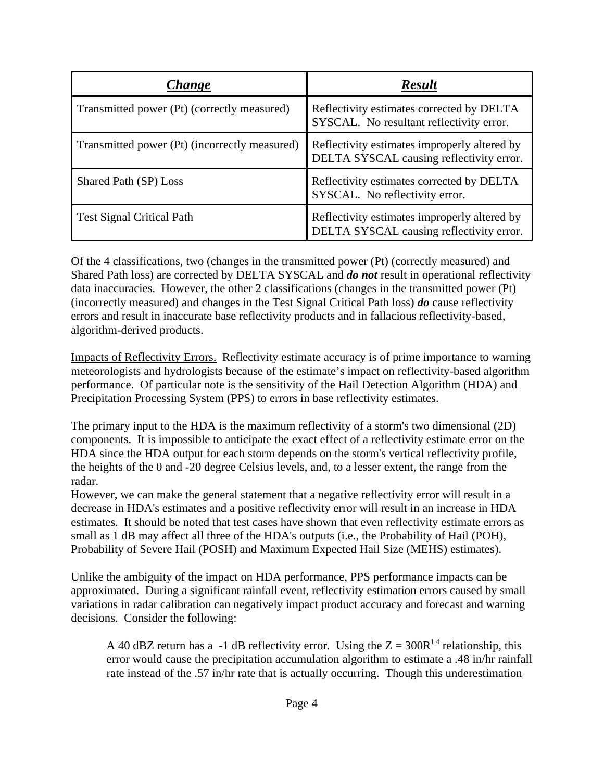| Change                                        | <b>Result</b>                                                                            |
|-----------------------------------------------|------------------------------------------------------------------------------------------|
| Transmitted power (Pt) (correctly measured)   | Reflectivity estimates corrected by DELTA<br>SYSCAL. No resultant reflectivity error.    |
| Transmitted power (Pt) (incorrectly measured) | Reflectivity estimates improperly altered by<br>DELTA SYSCAL causing reflectivity error. |
| Shared Path (SP) Loss                         | Reflectivity estimates corrected by DELTA<br>SYSCAL. No reflectivity error.              |
| <b>Test Signal Critical Path</b>              | Reflectivity estimates improperly altered by<br>DELTA SYSCAL causing reflectivity error. |

Of the 4 classifications, two (changes in the transmitted power (Pt) (correctly measured) and Shared Path loss) are corrected by DELTA SYSCAL and *do not* result in operational reflectivity data inaccuracies. However, the other 2 classifications (changes in the transmitted power (Pt) (incorrectly measured) and changes in the Test Signal Critical Path loss) *do* cause reflectivity errors and result in inaccurate base reflectivity products and in fallacious reflectivity-based, algorithm-derived products.

Impacts of Reflectivity Errors. Reflectivity estimate accuracy is of prime importance to warning meteorologists and hydrologists because of the estimate's impact on reflectivity-based algorithm performance. Of particular note is the sensitivity of the Hail Detection Algorithm (HDA) and Precipitation Processing System (PPS) to errors in base reflectivity estimates.

The primary input to the HDA is the maximum reflectivity of a storm's two dimensional (2D) components. It is impossible to anticipate the exact effect of a reflectivity estimate error on the HDA since the HDA output for each storm depends on the storm's vertical reflectivity profile, the heights of the 0 and -20 degree Celsius levels, and, to a lesser extent, the range from the radar.

However, we can make the general statement that a negative reflectivity error will result in a decrease in HDA's estimates and a positive reflectivity error will result in an increase in HDA estimates. It should be noted that test cases have shown that even reflectivity estimate errors as small as 1 dB may affect all three of the HDA's outputs (i.e., the Probability of Hail (POH), Probability of Severe Hail (POSH) and Maximum Expected Hail Size (MEHS) estimates).

Unlike the ambiguity of the impact on HDA performance, PPS performance impacts can be approximated. During a significant rainfall event, reflectivity estimation errors caused by small variations in radar calibration can negatively impact product accuracy and forecast and warning decisions. Consider the following:

A 40 dBZ return has a -1 dB reflectivity error. Using the  $Z = 300R^{1.4}$  relationship, this error would cause the precipitation accumulation algorithm to estimate a .48 in/hr rainfall rate instead of the .57 in/hr rate that is actually occurring. Though this underestimation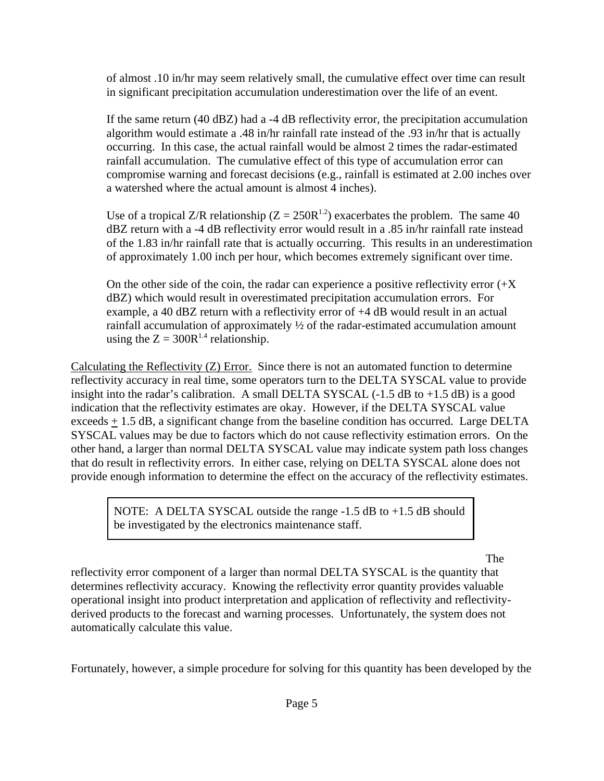of almost .10 in/hr may seem relatively small, the cumulative effect over time can result in significant precipitation accumulation underestimation over the life of an event.

If the same return (40 dBZ) had a -4 dB reflectivity error, the precipitation accumulation algorithm would estimate a .48 in/hr rainfall rate instead of the .93 in/hr that is actually occurring. In this case, the actual rainfall would be almost 2 times the radar-estimated rainfall accumulation. The cumulative effect of this type of accumulation error can compromise warning and forecast decisions (e.g., rainfall is estimated at 2.00 inches over a watershed where the actual amount is almost 4 inches).

Use of a tropical Z/R relationship ( $Z = 250R^{1.2}$ ) exacerbates the problem. The same 40 dBZ return with a -4 dB reflectivity error would result in a .85 in/hr rainfall rate instead of the 1.83 in/hr rainfall rate that is actually occurring. This results in an underestimation of approximately 1.00 inch per hour, which becomes extremely significant over time.

On the other side of the coin, the radar can experience a positive reflectivity error  $(X$ dBZ) which would result in overestimated precipitation accumulation errors. For example, a 40 dBZ return with a reflectivity error of +4 dB would result in an actual rainfall accumulation of approximately ½ of the radar-estimated accumulation amount using the  $Z = 300R^{1.4}$  relationship.

Calculating the Reflectivity (Z) Error. Since there is not an automated function to determine reflectivity accuracy in real time, some operators turn to the DELTA SYSCAL value to provide insight into the radar's calibration. A small DELTA SYSCAL  $(-1.5$  dB to  $+1.5$  dB) is a good indication that the reflectivity estimates are okay. However, if the DELTA SYSCAL value exceeds + 1.5 dB, a significant change from the baseline condition has occurred. Large DELTA SYSCAL values may be due to factors which do not cause reflectivity estimation errors. On the other hand, a larger than normal DELTA SYSCAL value may indicate system path loss changes that do result in reflectivity errors. In either case, relying on DELTA SYSCAL alone does not provide enough information to determine the effect on the accuracy of the reflectivity estimates.

NOTE: A DELTA SYSCAL outside the range -1.5 dB to +1.5 dB should be investigated by the electronics maintenance staff.

The

reflectivity error component of a larger than normal DELTA SYSCAL is the quantity that determines reflectivity accuracy. Knowing the reflectivity error quantity provides valuable operational insight into product interpretation and application of reflectivity and reflectivityderived products to the forecast and warning processes. Unfortunately, the system does not automatically calculate this value.

Fortunately, however, a simple procedure for solving for this quantity has been developed by the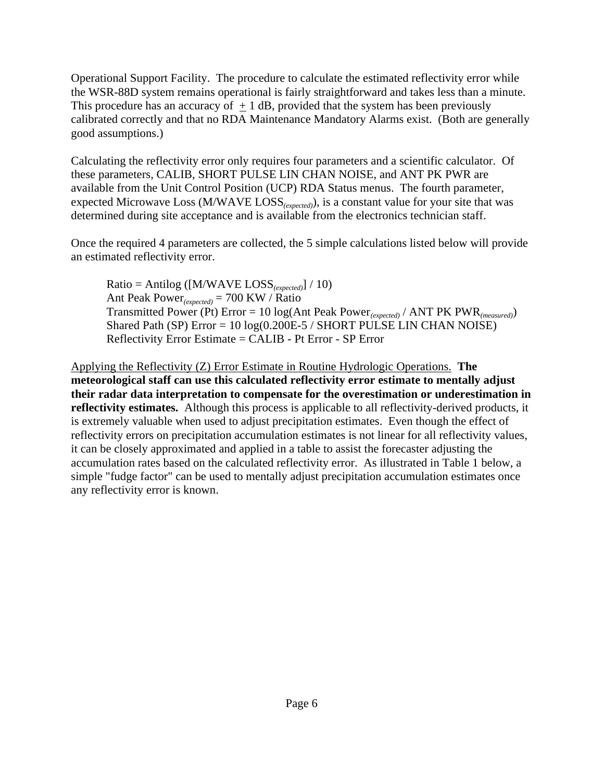Operational Support Facility. The procedure to calculate the estimated reflectivity error while the WSR-88D system remains operational is fairly straightforward and takes less than a minute. This procedure has an accuracy of  $+1$  dB, provided that the system has been previously calibrated correctly and that no RDA Maintenance Mandatory Alarms exist. (Both are generally good assumptions.)

Calculating the reflectivity error only requires four parameters and a scientific calculator. Of these parameters, CALIB, SHORT PULSE LIN CHAN NOISE, and ANT PK PWR are available from the Unit Control Position (UCP) RDA Status menus. The fourth parameter, expected Microwave Loss (M/WAVE LOSS*(expected)*), is a constant value for your site that was determined during site acceptance and is available from the electronics technician staff.

Once the required 4 parameters are collected, the 5 simple calculations listed below will provide an estimated reflectivity error.

Ratio = Antilog ([M/WAVE LOSS*(expected)*] / 10) Ant Peak Power*(expected)* = 700 KW / Ratio Transmitted Power (Pt) Error = 10 log(Ant Peak Power*(expected)* / ANT PK PWR*(measured)*) Shared Path (SP) Error =  $10 \log(0.200E - 5 /$  SHORT PULSE LIN CHAN NOISE) Reflectivity Error Estimate = CALIB - Pt Error - SP Error

Applying the Reflectivity (Z) Error Estimate in Routine Hydrologic Operations. **The meteorological staff can use this calculated reflectivity error estimate to mentally adjust their radar data interpretation to compensate for the overestimation or underestimation in reflectivity estimates.** Although this process is applicable to all reflectivity-derived products, it is extremely valuable when used to adjust precipitation estimates. Even though the effect of reflectivity errors on precipitation accumulation estimates is not linear for all reflectivity values, it can be closely approximated and applied in a table to assist the forecaster adjusting the accumulation rates based on the calculated reflectivity error. As illustrated in Table 1 below, a simple "fudge factor" can be used to mentally adjust precipitation accumulation estimates once any reflectivity error is known.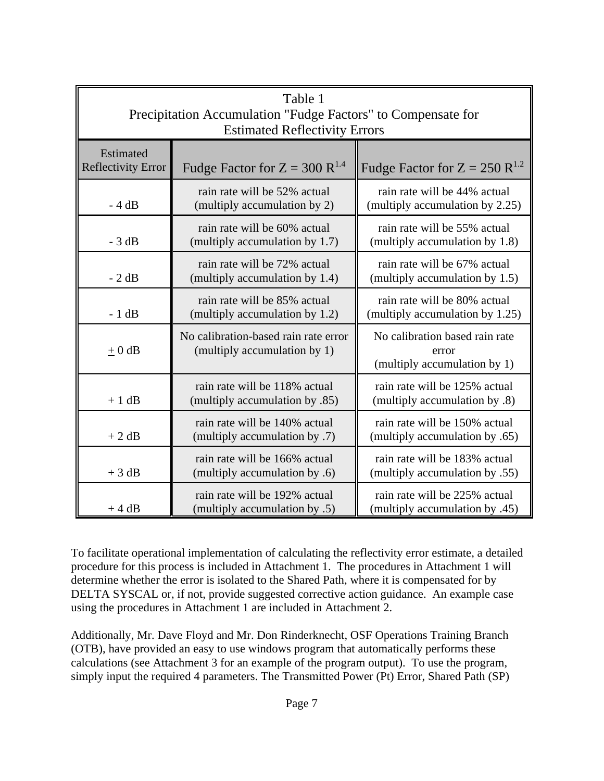| Table 1<br>Precipitation Accumulation "Fudge Factors" to Compensate for<br><b>Estimated Reflectivity Errors</b> |                                                                      |                                                                         |  |  |
|-----------------------------------------------------------------------------------------------------------------|----------------------------------------------------------------------|-------------------------------------------------------------------------|--|--|
| Estimated<br><b>Reflectivity Error</b>                                                                          | Fudge Factor for $Z = 300 R^{1.4}$                                   | Fudge Factor for $Z = 250$ R <sup>1.2</sup>                             |  |  |
| $-4 dB$                                                                                                         | rain rate will be 52% actual<br>(multiply accumulation by 2)         | rain rate will be 44% actual<br>(multiply accumulation by 2.25)         |  |  |
| $-3 dB$                                                                                                         | rain rate will be 60% actual<br>(multiply accumulation by 1.7)       | rain rate will be 55% actual<br>(multiply accumulation by 1.8)          |  |  |
| $-2 dB$                                                                                                         | rain rate will be 72% actual<br>(multiply accumulation by 1.4)       | rain rate will be 67% actual<br>(multiply accumulation by 1.5)          |  |  |
| $-1$ dB                                                                                                         | rain rate will be 85% actual<br>(multiply accumulation by 1.2)       | rain rate will be 80% actual<br>(multiply accumulation by 1.25)         |  |  |
| $\pm 0$ dB                                                                                                      | No calibration-based rain rate error<br>(multiply accumulation by 1) | No calibration based rain rate<br>error<br>(multiply accumulation by 1) |  |  |
| $+1$ dB                                                                                                         | rain rate will be 118% actual<br>(multiply accumulation by .85)      | rain rate will be 125% actual<br>(multiply accumulation by .8)          |  |  |
| $+2 dB$                                                                                                         | rain rate will be 140% actual<br>(multiply accumulation by .7)       | rain rate will be 150% actual<br>(multiply accumulation by .65)         |  |  |
| $+3 dB$                                                                                                         | rain rate will be 166% actual<br>(multiply accumulation by .6)       | rain rate will be 183% actual<br>(multiply accumulation by .55)         |  |  |
| $+4 dB$                                                                                                         | rain rate will be 192% actual<br>(multiply accumulation by .5)       | rain rate will be 225% actual<br>(45. multiply accumulation by)         |  |  |

To facilitate operational implementation of calculating the reflectivity error estimate, a detailed procedure for this process is included in Attachment 1. The procedures in Attachment 1 will determine whether the error is isolated to the Shared Path, where it is compensated for by DELTA SYSCAL or, if not, provide suggested corrective action guidance. An example case using the procedures in Attachment 1 are included in Attachment 2.

Additionally, Mr. Dave Floyd and Mr. Don Rinderknecht, OSF Operations Training Branch (OTB), have provided an easy to use windows program that automatically performs these calculations (see Attachment 3 for an example of the program output). To use the program, simply input the required 4 parameters. The Transmitted Power (Pt) Error, Shared Path (SP)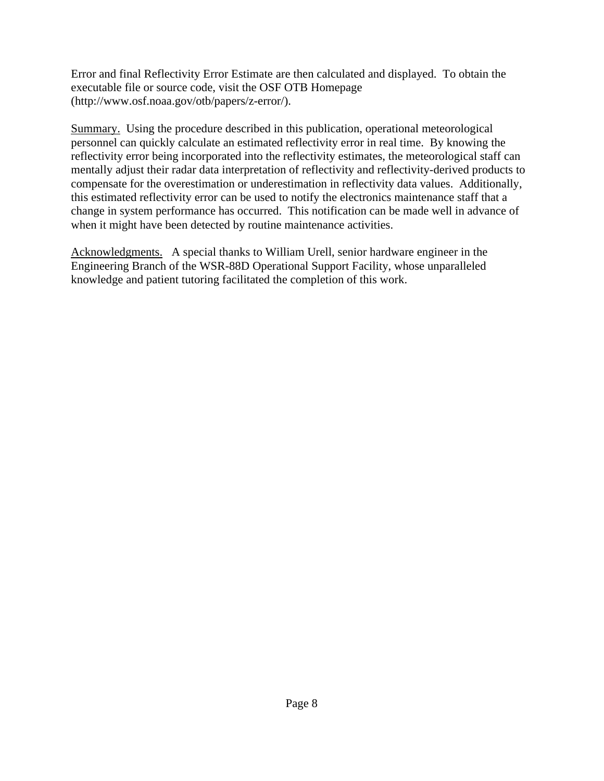Error and final Reflectivity Error Estimate are then calculated and displayed. To obtain the executable file or source code, visit the OSF OTB Homepage (http://www.osf.noaa.gov/otb/papers/z-error/).

Summary. Using the procedure described in this publication, operational meteorological personnel can quickly calculate an estimated reflectivity error in real time. By knowing the reflectivity error being incorporated into the reflectivity estimates, the meteorological staff can mentally adjust their radar data interpretation of reflectivity and reflectivity-derived products to compensate for the overestimation or underestimation in reflectivity data values. Additionally, this estimated reflectivity error can be used to notify the electronics maintenance staff that a change in system performance has occurred. This notification can be made well in advance of when it might have been detected by routine maintenance activities.

Acknowledgments. A special thanks to William Urell, senior hardware engineer in the Engineering Branch of the WSR-88D Operational Support Facility, whose unparalleled knowledge and patient tutoring facilitated the completion of this work.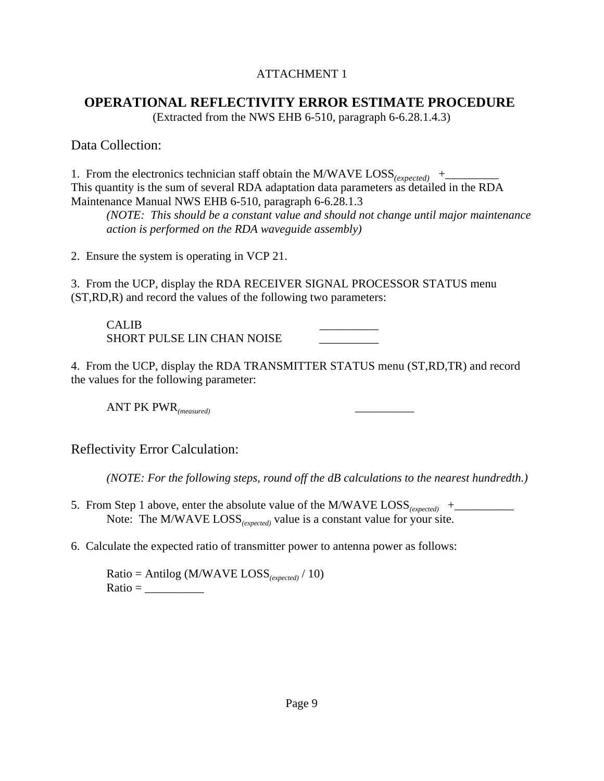### ATTACHMENT 1

### **OPERATIONAL REFLECTIVITY ERROR ESTIMATE PROCEDURE**

(Extracted from the NWS EHB 6-510, paragraph 6-6.28.1.4.3)

Data Collection:

1. From the electronics technician staff obtain the M/WAVE LOSS*(expected)* +\_\_\_\_\_\_\_\_\_ This quantity is the sum of several RDA adaptation data parameters as detailed in the RDA Maintenance Manual NWS EHB 6-510, paragraph 6-6.28.1.3

*(NOTE: This should be a constant value and should not change until major maintenance action is performed on the RDA waveguide assembly)* 

2. Ensure the system is operating in VCP 21.

3. From the UCP, display the RDA RECEIVER SIGNAL PROCESSOR STATUS menu (ST,RD,R) and record the values of the following two parameters:

CALIB \_\_\_\_\_\_\_\_\_\_ SHORT PULSE LIN CHAN NOISE \_\_\_\_\_\_\_\_\_\_

4. From the UCP, display the RDA TRANSMITTER STATUS menu (ST,RD,TR) and record the values for the following parameter:

ANT PK PWR*(measured)* \_\_\_\_\_\_\_\_\_\_

Reflectivity Error Calculation:

*(NOTE: For the following steps, round off the dB calculations to the nearest hundredth.)* 

- 5. From Step 1 above, enter the absolute value of the M/WAVE  $\text{LOSS}_{\text{(expected)}}$  + Note: The M/WAVE LOSS*(expected)* value is a constant value for your site.
- 6. Calculate the expected ratio of transmitter power to antenna power as follows:

Ratio = Antilog (M/WAVE LOSS*(expected)* / 10)  $Ratio = \_$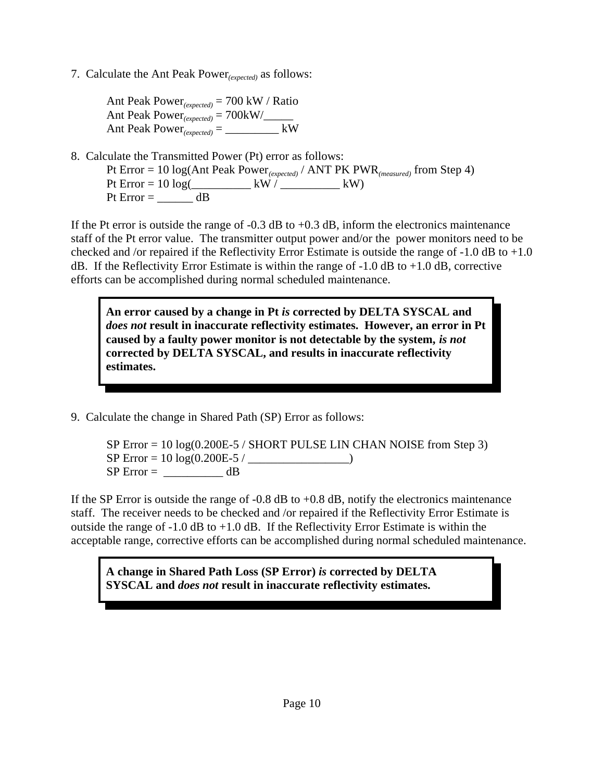7. Calculate the Ant Peak Power*(expected)* as follows:

Ant Peak Power*(expected)* = 700 kW / Ratio Ant Peak Power*(expected)* = 700kW/\_\_\_\_\_ Ant Peak  $Power_{(expected)} =$   $\_\_\_\_\_\_\_$  kW

8. Calculate the Transmitted Power (Pt) error as follows: Pt Error = 10 log(Ant Peak Power*(expected)* / ANT PK PWR*(measured)* from Step 4) Pt Error =  $10 \log(\_ \ \ \_ \ \ \text{kW} / \_ \ \ \_ \ \ \text{kW})$ Pt Error  $=$  dB

If the Pt error is outside the range of  $-0.3$  dB to  $+0.3$  dB, inform the electronics maintenance staff of the Pt error value. The transmitter output power and/or the power monitors need to be checked and /or repaired if the Reflectivity Error Estimate is outside the range of -1.0 dB to +1.0 dB. If the Reflectivity Error Estimate is within the range of  $-1.0$  dB to  $+1.0$  dB, corrective efforts can be accomplished during normal scheduled maintenance.

**An error caused by a change in Pt** *is* **corrected by DELTA SYSCAL and** *does not* **result in inaccurate reflectivity estimates. However, an error in Pt caused by a faulty power monitor is not detectable by the system,** *is not* **corrected by DELTA SYSCAL, and results in inaccurate reflectivity estimates.**

9. Calculate the change in Shared Path (SP) Error as follows:

SP Error  $= 10 \log(0.200E-5 /$  SHORT PULSE LIN CHAN NOISE from Step 3)  $SP Error = 10 log(0.200E-5 / \_$  $SP Error =$  dB

If the SP Error is outside the range of  $-0.8$  dB to  $+0.8$  dB, notify the electronics maintenance staff. The receiver needs to be checked and /or repaired if the Reflectivity Error Estimate is outside the range of  $-1.0$  dB to  $+1.0$  dB. If the Reflectivity Error Estimate is within the acceptable range, corrective efforts can be accomplished during normal scheduled maintenance.

**A change in Shared Path Loss (SP Error)** *is* **corrected by DELTA SYSCAL and** *does not* **result in inaccurate reflectivity estimates.**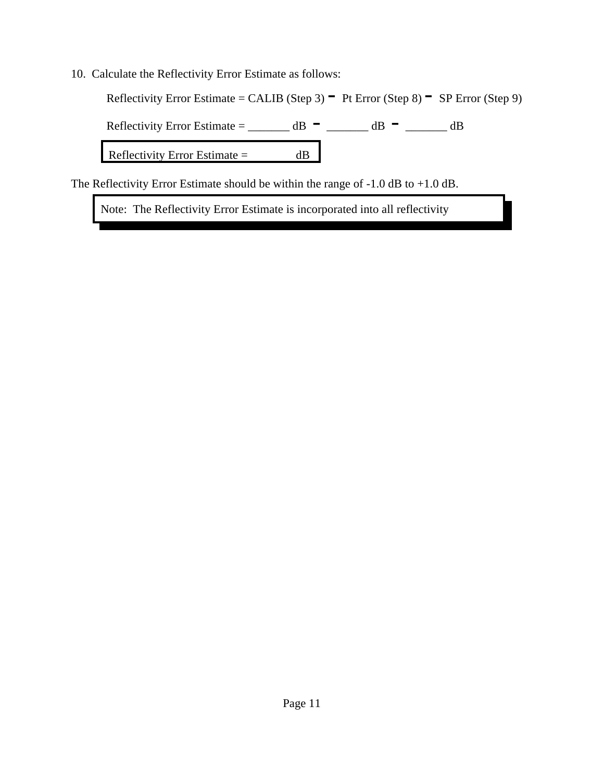10. Calculate the Reflectivity Error Estimate as follows:

Reflectivity Error Estimate = CALIB (Step 3)  $-$  Pt Error (Step 8)  $-$  SP Error (Step 9)

Reflectivity Error Estimate = \_\_\_\_\_\_\_ dB  $-$  \_\_\_\_\_\_\_ dB  $-$  \_\_\_\_\_\_ dB

Reflectivity Error Estimate = dB

The Reflectivity Error Estimate should be within the range of -1.0 dB to +1.0 dB.

Note: The Reflectivity Error Estimate is incorporated into all reflectivity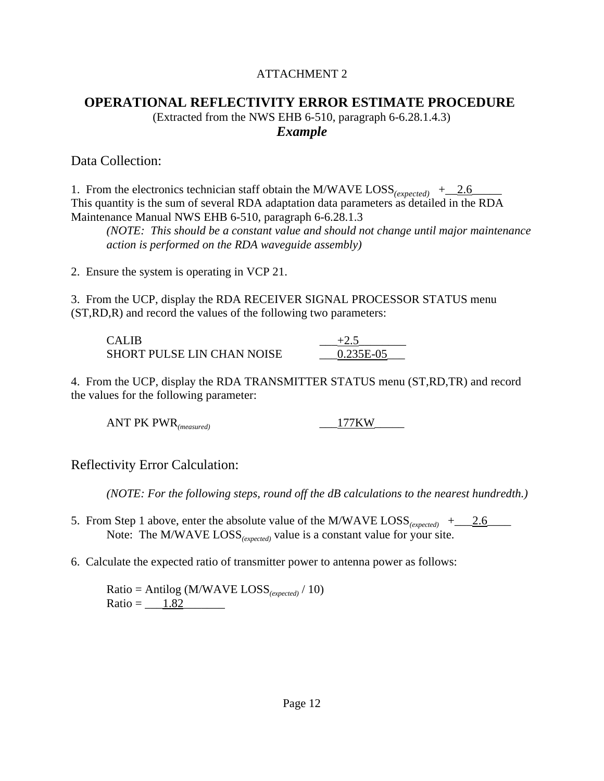### ATTACHMENT 2

# **OPERATIONAL REFLECTIVITY ERROR ESTIMATE PROCEDURE**

(Extracted from the NWS EHB 6-510, paragraph 6-6.28.1.4.3) *Example*

### Data Collection:

1. From the electronics technician staff obtain the M/WAVE  $\text{Loss}_{\text{(expected)}}$  + \_2.6 This quantity is the sum of several RDA adaptation data parameters as detailed in the RDA Maintenance Manual NWS EHB 6-510, paragraph 6-6.28.1.3

*(NOTE: This should be a constant value and should not change until major maintenance action is performed on the RDA waveguide assembly)* 

2. Ensure the system is operating in VCP 21.

3. From the UCP, display the RDA RECEIVER SIGNAL PROCESSOR STATUS menu (ST,RD,R) and record the values of the following two parameters:

| CALIB                             |           |
|-----------------------------------|-----------|
| <b>SHORT PULSE LIN CHAN NOISE</b> | 0.235E-05 |

4. From the UCP, display the RDA TRANSMITTER STATUS menu (ST,RD,TR) and record the values for the following parameter:

ANT PK PWR*(measured)* \_\_\_177KW\_\_\_\_\_

### Reflectivity Error Calculation:

*(NOTE: For the following steps, round off the dB calculations to the nearest hundredth.)* 

- 5. From Step 1 above, enter the absolute value of the M/WAVE  $\text{LOSS}_{(expected)}$  + 2.6 Note: The M/WAVE LOSS*(expected)* value is a constant value for your site.
- 6. Calculate the expected ratio of transmitter power to antenna power as follows:

Ratio = Antilog (M/WAVE LOSS*(expected)* / 10) Ratio =  $1.82$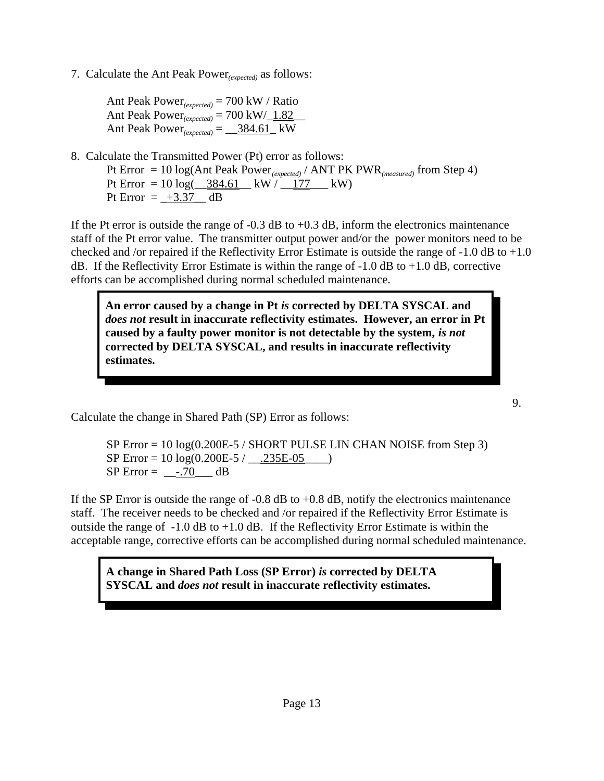7. Calculate the Ant Peak Power*(expected)* as follows:

Ant Peak Power*(expected)* = 700 kW / Ratio Ant Peak Power*(expected)* = 700 kW/\_1.82\_\_ Ant Peak Power $_{(expected)} =$   $\frac{384.61}{ }$  kW

8. Calculate the Transmitted Power (Pt) error as follows: Pt Error = 10 log(Ant Peak Power*(expected)* / ANT PK PWR*(measured)* from Step 4) Pt Error =  $10 \log(\frac{384.61}{kW}/\frac{177}{kW})$ Pt Error =  $+3.37$  dB

If the Pt error is outside the range of  $-0.3$  dB to  $+0.3$  dB, inform the electronics maintenance staff of the Pt error value. The transmitter output power and/or the power monitors need to be checked and /or repaired if the Reflectivity Error Estimate is outside the range of  $-1.0$  dB to  $+1.0$ dB. If the Reflectivity Error Estimate is within the range of  $-1.0$  dB to  $+1.0$  dB, corrective efforts can be accomplished during normal scheduled maintenance.

**An error caused by a change in Pt** *is* **corrected by DELTA SYSCAL and** *does not* **result in inaccurate reflectivity estimates. However, an error in Pt caused by a faulty power monitor is not detectable by the system,** *is not* **corrected by DELTA SYSCAL, and results in inaccurate reflectivity estimates.**

Calculate the change in Shared Path (SP) Error as follows:

SP Error  $= 10 \log(0.200E-5 /$  SHORT PULSE LIN CHAN NOISE from Step 3)  $SP Error = 10 log(0.200E-5 / \dots 235E-05)$  $SP Error =$   $-.70$  dB

If the SP Error is outside the range of  $-0.8$  dB to  $+0.8$  dB, notify the electronics maintenance staff. The receiver needs to be checked and /or repaired if the Reflectivity Error Estimate is outside the range of  $-1.0$  dB to  $+1.0$  dB. If the Reflectivity Error Estimate is within the acceptable range, corrective efforts can be accomplished during normal scheduled maintenance.

**A change in Shared Path Loss (SP Error)** *is* **corrected by DELTA SYSCAL and** *does not* **result in inaccurate reflectivity estimates.**

9.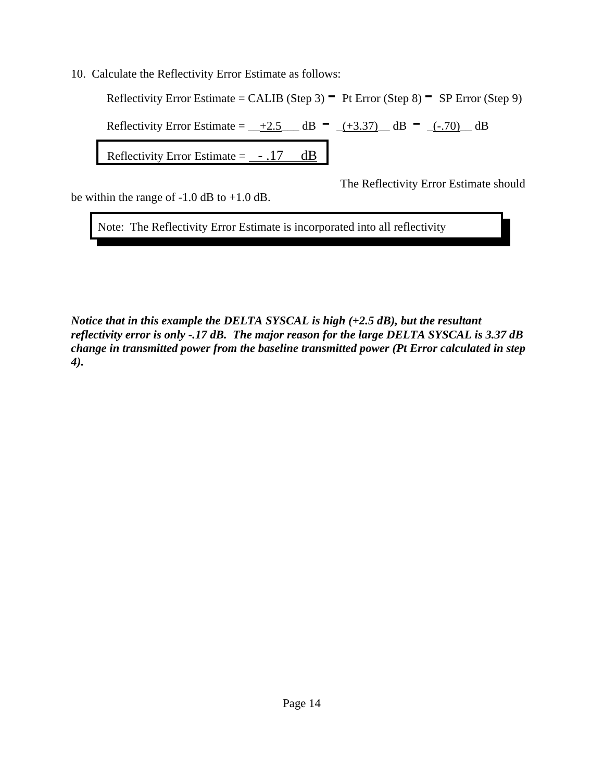10. Calculate the Reflectivity Error Estimate as follows:

Reflectivity Error Estimate = CALIB (Step 3)  $-$  Pt Error (Step 8)  $-$  SP Error (Step 9)

Reflectivity Error Estimate =  $-+2.5$  dB  $(-3.37)$  dB  $(-.70)$  dB

Reflectivity Error Estimate =  $-.17$  dB

The Reflectivity Error Estimate should

be within the range of  $-1.0$  dB to  $+1.0$  dB.

Note: The Reflectivity Error Estimate is incorporated into all reflectivity

*Notice that in this example the DELTA SYSCAL is high (+2.5 dB), but the resultant reflectivity error is only -.17 dB. The major reason for the large DELTA SYSCAL is 3.37 dB change in transmitted power from the baseline transmitted power (Pt Error calculated in step 4).*